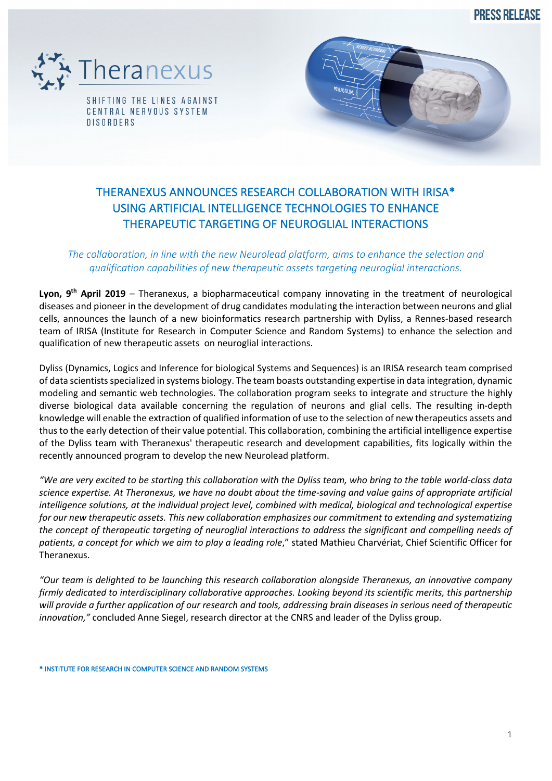**PRESS RELEASE** 





# *The collaboration, in line with the new Neurolead platform, aims to enhance the selection and qualification capabilities of new therapeutic assets targeting neuroglial interactions.*

**Lyon, 9th April 2019** – Theranexus, a biopharmaceutical company innovating in the treatment of neurological diseases and pioneer in the development of drug candidates modulating the interaction between neurons and glial cells, announces the launch of a new bioinformatics research partnership with Dyliss, a Rennes-based research team of IRISA (Institute for Research in Computer Science and Random Systems) to enhance the selection and qualification of new therapeutic assets on neuroglial interactions.

Dyliss (Dynamics, Logics and Inference for biological Systems and Sequences) is an IRISA research team comprised of data scientists specialized in systems biology. The team boasts outstanding expertise in data integration, dynamic modeling and semantic web technologies. The collaboration program seeks to integrate and structure the highly diverse biological data available concerning the regulation of neurons and glial cells. The resulting in-depth knowledge will enable the extraction of qualified information of use to the selection of new therapeutics assets and thus to the early detection of their value potential. This collaboration, combining the artificial intelligence expertise of the Dyliss team with Theranexus' therapeutic research and development capabilities, fits logically within the recently announced program to develop the new Neurolead platform.

*"We are very excited to be starting this collaboration with the Dyliss team, who bring to the table world-class data science expertise. At Theranexus, we have no doubt about the time-saving and value gains of appropriate artificial intelligence solutions, at the individual project level, combined with medical, biological and technological expertise for our new therapeutic assets. This new collaboration emphasizes our commitment to extending and systematizing the concept of therapeutic targeting of neuroglial interactions to address the significant and compelling needs of patients, a concept for which we aim to play a leading role*," stated Mathieu Charvériat, Chief Scientific Officer for Theranexus.

*"Our team is delighted to be launching this research collaboration alongside Theranexus, an innovative company firmly dedicated to interdisciplinary collaborative approaches. Looking beyond its scientific merits, this partnership will provide a further application of our research and tools, addressing brain diseases in serious need of therapeutic innovation,"* concluded Anne Siegel, research director at the CNRS and leader of the Dyliss group.

\* INSTITUTE FOR RESEARCH IN COMPUTER SCIENCE AND RANDOM SYSTEMS